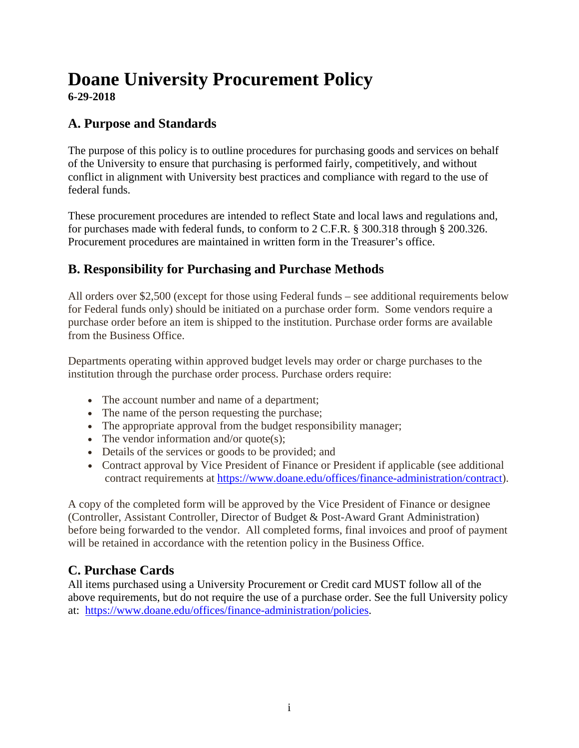# **Doane University Procurement Policy 6-29-2018**

# **A. Purpose and Standards**

The purpose of this policy is to outline procedures for purchasing goods and services on behalf of the University to ensure that purchasing is performed fairly, competitively, and without conflict in alignment with University best practices and compliance with regard to the use of federal funds.

These procurement procedures are intended to reflect State and local laws and regulations and, for purchases made with federal funds, to conform to 2 C.F.R. § 300.318 through § 200.326. Procurement procedures are maintained in written form in the Treasurer's office.

# **B. Responsibility for Purchasing and Purchase Methods**

All orders over \$2,500 (except for those using Federal funds – see additional requirements below for Federal funds only) should be initiated on a purchase order form. Some vendors require a purchase order before an item is shipped to the institution. Purchase order forms are available from the Business Office.

Departments operating within approved budget levels may order or charge purchases to the institution through the purchase order process. Purchase orders require:

- The account number and name of a department;
- The name of the person requesting the purchase;
- The appropriate approval from the budget responsibility manager;
- The vendor information and/or quote(s);
- Details of the services or goods to be provided; and
- Contract approval by Vice President of Finance or President if applicable (see additional contract requirements at https://www.doane.edu/offices/finance-administration/contract).

A copy of the completed form will be approved by the Vice President of Finance or designee (Controller, Assistant Controller, Director of Budget & Post-Award Grant Administration) before being forwarded to the vendor. All completed forms, final invoices and proof of payment will be retained in accordance with the retention policy in the Business Office.

# **C. Purchase Cards**

All items purchased using a University Procurement or Credit card MUST follow all of the above requirements, but do not require the use of a purchase order. See the full University policy at: https://www.doane.edu/offices/finance-administration/policies.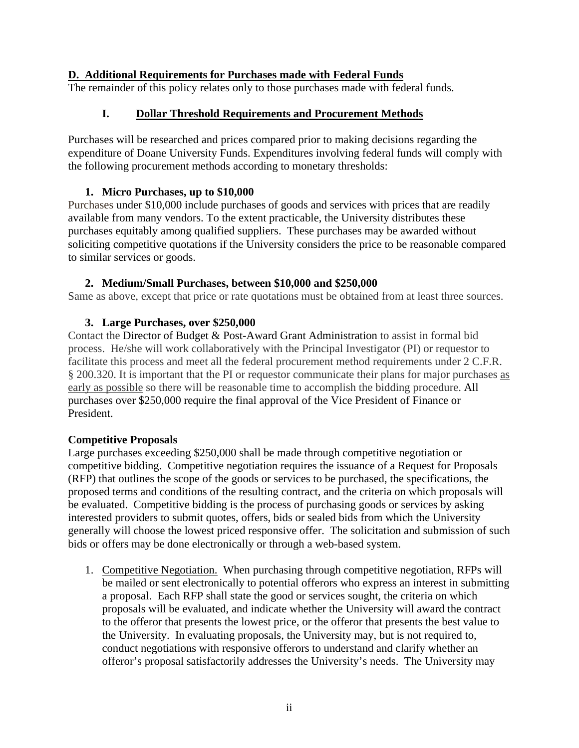# **D. Additional Requirements for Purchases made with Federal Funds**

The remainder of this policy relates only to those purchases made with federal funds.

# **I. Dollar Threshold Requirements and Procurement Methods**

Purchases will be researched and prices compared prior to making decisions regarding the expenditure of Doane University Funds. Expenditures involving federal funds will comply with the following procurement methods according to monetary thresholds:

# **1. Micro Purchases, up to \$10,000**

Purchases under \$10,000 include purchases of goods and services with prices that are readily available from many vendors. To the extent practicable, the University distributes these purchases equitably among qualified suppliers. These purchases may be awarded without soliciting competitive quotations if the University considers the price to be reasonable compared to similar services or goods.

# **2. Medium/Small Purchases, between \$10,000 and \$250,000**

Same as above, except that price or rate quotations must be obtained from at least three sources.

# **3. Large Purchases, over \$250,000**

Contact the Director of Budget & Post-Award Grant Administration to assist in formal bid process. He/she will work collaboratively with the Principal Investigator (PI) or requestor to facilitate this process and meet all the federal procurement method requirements under 2 C.F.R. § 200.320. It is important that the PI or requestor communicate their plans for major purchases as early as possible so there will be reasonable time to accomplish the bidding procedure. All purchases over \$250,000 require the final approval of the Vice President of Finance or President.

# **Competitive Proposals**

Large purchases exceeding \$250,000 shall be made through competitive negotiation or competitive bidding. Competitive negotiation requires the issuance of a Request for Proposals (RFP) that outlines the scope of the goods or services to be purchased, the specifications, the proposed terms and conditions of the resulting contract, and the criteria on which proposals will be evaluated. Competitive bidding is the process of purchasing goods or services by asking interested providers to submit quotes, offers, bids or sealed bids from which the University generally will choose the lowest priced responsive offer. The solicitation and submission of such bids or offers may be done electronically or through a web-based system.

1. Competitive Negotiation. When purchasing through competitive negotiation, RFPs will be mailed or sent electronically to potential offerors who express an interest in submitting a proposal. Each RFP shall state the good or services sought, the criteria on which proposals will be evaluated, and indicate whether the University will award the contract to the offeror that presents the lowest price, or the offeror that presents the best value to the University. In evaluating proposals, the University may, but is not required to, conduct negotiations with responsive offerors to understand and clarify whether an offeror's proposal satisfactorily addresses the University's needs. The University may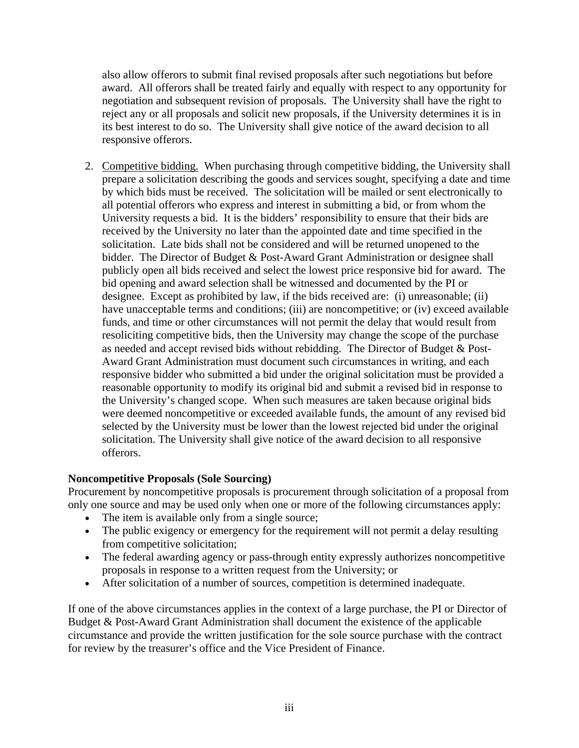also allow offerors to submit final revised proposals after such negotiations but before award. All offerors shall be treated fairly and equally with respect to any opportunity for negotiation and subsequent revision of proposals. The University shall have the right to reject any or all proposals and solicit new proposals, if the University determines it is in its best interest to do so. The University shall give notice of the award decision to all responsive offerors.

2. Competitive bidding. When purchasing through competitive bidding, the University shall prepare a solicitation describing the goods and services sought, specifying a date and time by which bids must be received. The solicitation will be mailed or sent electronically to all potential offerors who express and interest in submitting a bid, or from whom the University requests a bid. It is the bidders' responsibility to ensure that their bids are received by the University no later than the appointed date and time specified in the solicitation. Late bids shall not be considered and will be returned unopened to the bidder. The Director of Budget & Post-Award Grant Administration or designee shall publicly open all bids received and select the lowest price responsive bid for award. The bid opening and award selection shall be witnessed and documented by the PI or designee. Except as prohibited by law, if the bids received are: (i) unreasonable; (ii) have unacceptable terms and conditions; (iii) are noncompetitive; or (iv) exceed available funds, and time or other circumstances will not permit the delay that would result from resoliciting competitive bids, then the University may change the scope of the purchase as needed and accept revised bids without rebidding. The Director of Budget & Post-Award Grant Administration must document such circumstances in writing, and each responsive bidder who submitted a bid under the original solicitation must be provided a reasonable opportunity to modify its original bid and submit a revised bid in response to the University's changed scope. When such measures are taken because original bids were deemed noncompetitive or exceeded available funds, the amount of any revised bid selected by the University must be lower than the lowest rejected bid under the original solicitation. The University shall give notice of the award decision to all responsive offerors.

# **Noncompetitive Proposals (Sole Sourcing)**

Procurement by noncompetitive proposals is procurement through solicitation of a proposal from only one source and may be used only when one or more of the following circumstances apply:

- The item is available only from a single source;
- The public exigency or emergency for the requirement will not permit a delay resulting from competitive solicitation;
- The federal awarding agency or pass-through entity expressly authorizes noncompetitive proposals in response to a written request from the University; or
- After solicitation of a number of sources, competition is determined inadequate.

If one of the above circumstances applies in the context of a large purchase, the PI or Director of Budget & Post-Award Grant Administration shall document the existence of the applicable circumstance and provide the written justification for the sole source purchase with the contract for review by the treasurer's office and the Vice President of Finance.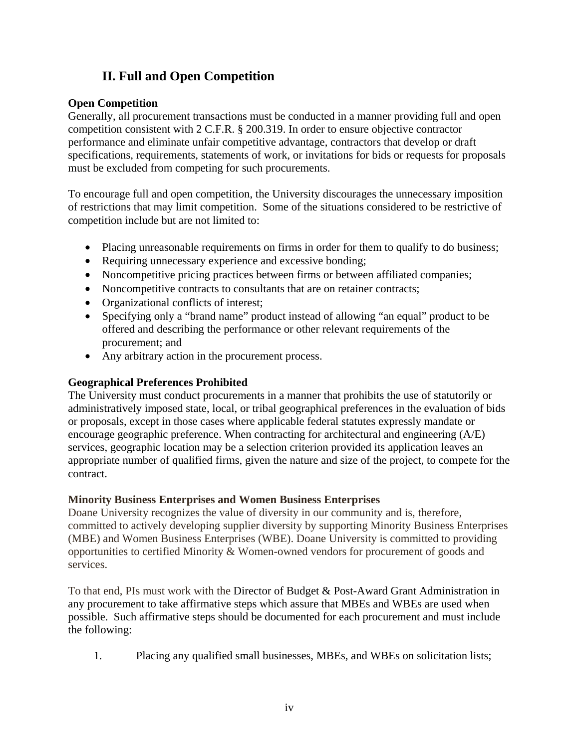# **II. Full and Open Competition**

# **Open Competition**

Generally, all procurement transactions must be conducted in a manner providing full and open competition consistent with 2 C.F.R. § 200.319. In order to ensure objective contractor performance and eliminate unfair competitive advantage, contractors that develop or draft specifications, requirements, statements of work, or invitations for bids or requests for proposals must be excluded from competing for such procurements.

To encourage full and open competition, the University discourages the unnecessary imposition of restrictions that may limit competition. Some of the situations considered to be restrictive of competition include but are not limited to:

- Placing unreasonable requirements on firms in order for them to qualify to do business;
- Requiring unnecessary experience and excessive bonding;
- Noncompetitive pricing practices between firms or between affiliated companies;
- Noncompetitive contracts to consultants that are on retainer contracts;
- Organizational conflicts of interest;
- Specifying only a "brand name" product instead of allowing "an equal" product to be offered and describing the performance or other relevant requirements of the procurement; and
- Any arbitrary action in the procurement process.

# **Geographical Preferences Prohibited**

The University must conduct procurements in a manner that prohibits the use of statutorily or administratively imposed state, local, or tribal geographical preferences in the evaluation of bids or proposals, except in those cases where applicable federal statutes expressly mandate or encourage geographic preference. When contracting for architectural and engineering (A/E) services, geographic location may be a selection criterion provided its application leaves an appropriate number of qualified firms, given the nature and size of the project, to compete for the contract.

# **Minority Business Enterprises and Women Business Enterprises**

Doane University recognizes the value of diversity in our community and is, therefore, committed to actively developing supplier diversity by supporting Minority Business Enterprises (MBE) and Women Business Enterprises (WBE). Doane University is committed to providing opportunities to certified Minority & Women-owned vendors for procurement of goods and services.

To that end, PIs must work with the Director of Budget & Post-Award Grant Administration in any procurement to take affirmative steps which assure that MBEs and WBEs are used when possible. Such affirmative steps should be documented for each procurement and must include the following:

1. Placing any qualified small businesses, MBEs, and WBEs on solicitation lists;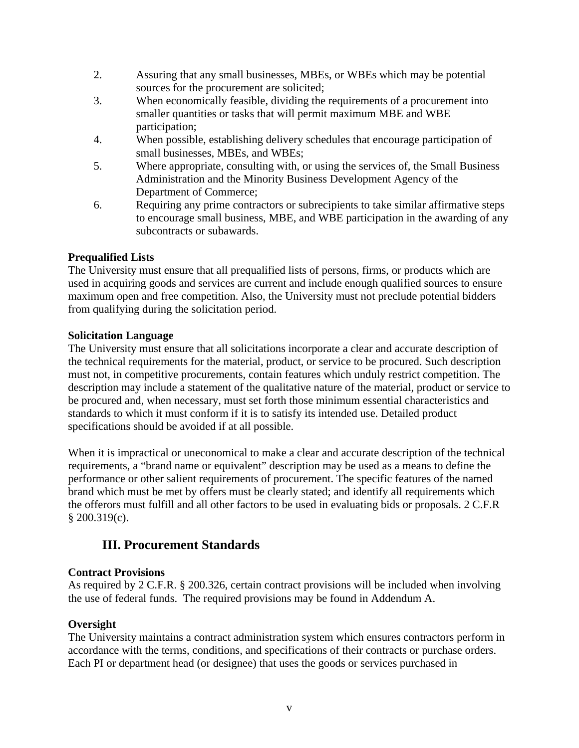- 2. Assuring that any small businesses, MBEs, or WBEs which may be potential sources for the procurement are solicited;
- 3. When economically feasible, dividing the requirements of a procurement into smaller quantities or tasks that will permit maximum MBE and WBE participation;
- 4. When possible, establishing delivery schedules that encourage participation of small businesses, MBEs, and WBEs;
- 5. Where appropriate, consulting with, or using the services of, the Small Business Administration and the Minority Business Development Agency of the Department of Commerce;
- 6. Requiring any prime contractors or subrecipients to take similar affirmative steps to encourage small business, MBE, and WBE participation in the awarding of any subcontracts or subawards.

# **Prequalified Lists**

The University must ensure that all prequalified lists of persons, firms, or products which are used in acquiring goods and services are current and include enough qualified sources to ensure maximum open and free competition. Also, the University must not preclude potential bidders from qualifying during the solicitation period.

### **Solicitation Language**

The University must ensure that all solicitations incorporate a clear and accurate description of the technical requirements for the material, product, or service to be procured. Such description must not, in competitive procurements, contain features which unduly restrict competition. The description may include a statement of the qualitative nature of the material, product or service to be procured and, when necessary, must set forth those minimum essential characteristics and standards to which it must conform if it is to satisfy its intended use. Detailed product specifications should be avoided if at all possible.

When it is impractical or uneconomical to make a clear and accurate description of the technical requirements, a "brand name or equivalent" description may be used as a means to define the performance or other salient requirements of procurement. The specific features of the named brand which must be met by offers must be clearly stated; and identify all requirements which the offerors must fulfill and all other factors to be used in evaluating bids or proposals. 2 C.F.R § 200.319(c).

# **III. Procurement Standards**

# **Contract Provisions**

As required by 2 C.F.R. § 200.326, certain contract provisions will be included when involving the use of federal funds. The required provisions may be found in Addendum A.

# **Oversight**

The University maintains a contract administration system which ensures contractors perform in accordance with the terms, conditions, and specifications of their contracts or purchase orders. Each PI or department head (or designee) that uses the goods or services purchased in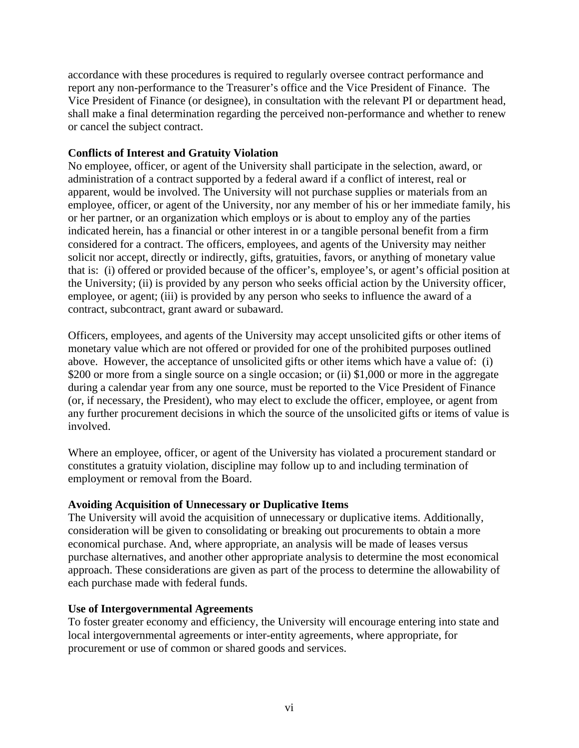accordance with these procedures is required to regularly oversee contract performance and report any non-performance to the Treasurer's office and the Vice President of Finance. The Vice President of Finance (or designee), in consultation with the relevant PI or department head, shall make a final determination regarding the perceived non-performance and whether to renew or cancel the subject contract.

### **Conflicts of Interest and Gratuity Violation**

No employee, officer, or agent of the University shall participate in the selection, award, or administration of a contract supported by a federal award if a conflict of interest, real or apparent, would be involved. The University will not purchase supplies or materials from an employee, officer, or agent of the University, nor any member of his or her immediate family, his or her partner, or an organization which employs or is about to employ any of the parties indicated herein, has a financial or other interest in or a tangible personal benefit from a firm considered for a contract. The officers, employees, and agents of the University may neither solicit nor accept, directly or indirectly, gifts, gratuities, favors, or anything of monetary value that is: (i) offered or provided because of the officer's, employee's, or agent's official position at the University; (ii) is provided by any person who seeks official action by the University officer, employee, or agent; (iii) is provided by any person who seeks to influence the award of a contract, subcontract, grant award or subaward.

Officers, employees, and agents of the University may accept unsolicited gifts or other items of monetary value which are not offered or provided for one of the prohibited purposes outlined above. However, the acceptance of unsolicited gifts or other items which have a value of: (i) \$200 or more from a single source on a single occasion; or (ii) \$1,000 or more in the aggregate during a calendar year from any one source, must be reported to the Vice President of Finance (or, if necessary, the President), who may elect to exclude the officer, employee, or agent from any further procurement decisions in which the source of the unsolicited gifts or items of value is involved.

Where an employee, officer, or agent of the University has violated a procurement standard or constitutes a gratuity violation, discipline may follow up to and including termination of employment or removal from the Board.

### **Avoiding Acquisition of Unnecessary or Duplicative Items**

The University will avoid the acquisition of unnecessary or duplicative items. Additionally, consideration will be given to consolidating or breaking out procurements to obtain a more economical purchase. And, where appropriate, an analysis will be made of leases versus purchase alternatives, and another other appropriate analysis to determine the most economical approach. These considerations are given as part of the process to determine the allowability of each purchase made with federal funds.

### **Use of Intergovernmental Agreements**

To foster greater economy and efficiency, the University will encourage entering into state and local intergovernmental agreements or inter-entity agreements, where appropriate, for procurement or use of common or shared goods and services.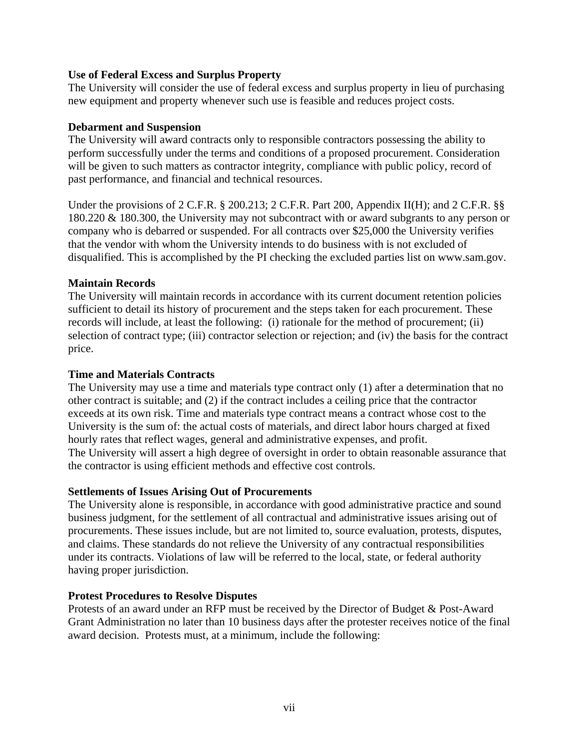### **Use of Federal Excess and Surplus Property**

The University will consider the use of federal excess and surplus property in lieu of purchasing new equipment and property whenever such use is feasible and reduces project costs.

### **Debarment and Suspension**

The University will award contracts only to responsible contractors possessing the ability to perform successfully under the terms and conditions of a proposed procurement. Consideration will be given to such matters as contractor integrity, compliance with public policy, record of past performance, and financial and technical resources.

Under the provisions of 2 C.F.R. § 200.213; 2 C.F.R. Part 200, Appendix II(H); and 2 C.F.R. §§ 180.220 & 180.300, the University may not subcontract with or award subgrants to any person or company who is debarred or suspended. For all contracts over \$25,000 the University verifies that the vendor with whom the University intends to do business with is not excluded of disqualified. This is accomplished by the PI checking the excluded parties list on www.sam.gov.

### **Maintain Records**

The University will maintain records in accordance with its current document retention policies sufficient to detail its history of procurement and the steps taken for each procurement. These records will include, at least the following: (i) rationale for the method of procurement; (ii) selection of contract type; (iii) contractor selection or rejection; and (iv) the basis for the contract price.

### **Time and Materials Contracts**

The University may use a time and materials type contract only (1) after a determination that no other contract is suitable; and (2) if the contract includes a ceiling price that the contractor exceeds at its own risk. Time and materials type contract means a contract whose cost to the University is the sum of: the actual costs of materials, and direct labor hours charged at fixed hourly rates that reflect wages, general and administrative expenses, and profit. The University will assert a high degree of oversight in order to obtain reasonable assurance that the contractor is using efficient methods and effective cost controls.

### **Settlements of Issues Arising Out of Procurements**

The University alone is responsible, in accordance with good administrative practice and sound business judgment, for the settlement of all contractual and administrative issues arising out of procurements. These issues include, but are not limited to, source evaluation, protests, disputes, and claims. These standards do not relieve the University of any contractual responsibilities under its contracts. Violations of law will be referred to the local, state, or federal authority having proper jurisdiction.

### **Protest Procedures to Resolve Disputes**

Protests of an award under an RFP must be received by the Director of Budget & Post-Award Grant Administration no later than 10 business days after the protester receives notice of the final award decision. Protests must, at a minimum, include the following: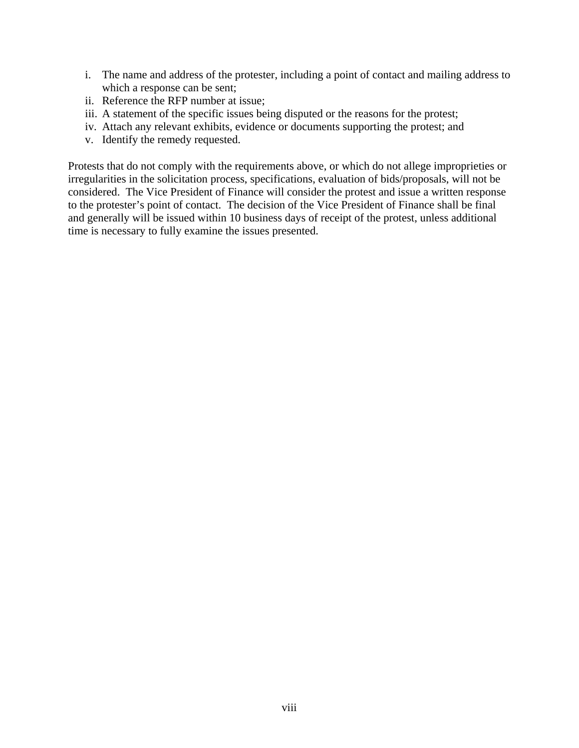- i. The name and address of the protester, including a point of contact and mailing address to which a response can be sent;
- ii. Reference the RFP number at issue;
- iii. A statement of the specific issues being disputed or the reasons for the protest;
- iv. Attach any relevant exhibits, evidence or documents supporting the protest; and
- v. Identify the remedy requested.

Protests that do not comply with the requirements above, or which do not allege improprieties or irregularities in the solicitation process, specifications, evaluation of bids/proposals, will not be considered. The Vice President of Finance will consider the protest and issue a written response to the protester's point of contact. The decision of the Vice President of Finance shall be final and generally will be issued within 10 business days of receipt of the protest, unless additional time is necessary to fully examine the issues presented.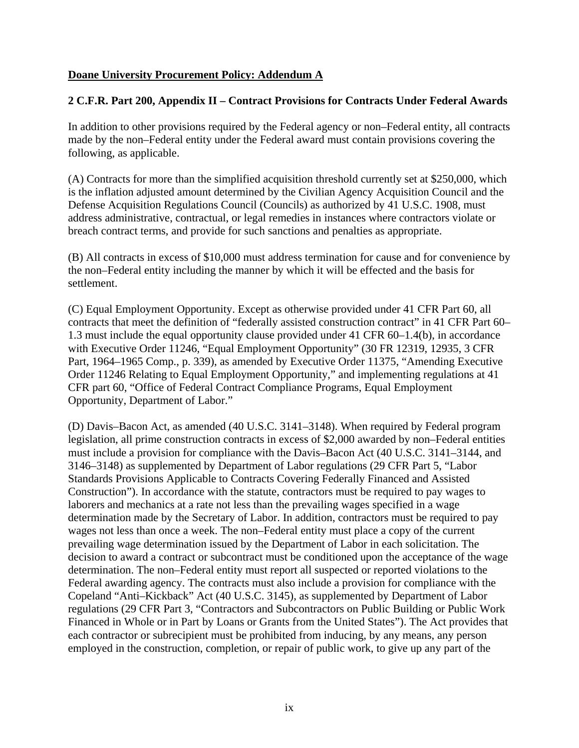# **Doane University Procurement Policy: Addendum A**

### **2 C.F.R. Part 200, Appendix II – Contract Provisions for Contracts Under Federal Awards**

In addition to other provisions required by the Federal agency or non–Federal entity, all contracts made by the non–Federal entity under the Federal award must contain provisions covering the following, as applicable.

(A) Contracts for more than the simplified acquisition threshold currently set at \$250,000, which is the inflation adjusted amount determined by the Civilian Agency Acquisition Council and the Defense Acquisition Regulations Council (Councils) as authorized by 41 U.S.C. 1908, must address administrative, contractual, or legal remedies in instances where contractors violate or breach contract terms, and provide for such sanctions and penalties as appropriate.

(B) All contracts in excess of \$10,000 must address termination for cause and for convenience by the non–Federal entity including the manner by which it will be effected and the basis for settlement.

(C) Equal Employment Opportunity. Except as otherwise provided under 41 CFR Part 60, all contracts that meet the definition of "federally assisted construction contract" in 41 CFR Part 60– 1.3 must include the equal opportunity clause provided under 41 CFR 60–1.4(b), in accordance with Executive Order 11246, "Equal Employment Opportunity" (30 FR 12319, 12935, 3 CFR Part, 1964–1965 Comp., p. 339), as amended by Executive Order 11375, "Amending Executive Order 11246 Relating to Equal Employment Opportunity," and implementing regulations at 41 CFR part 60, "Office of Federal Contract Compliance Programs, Equal Employment Opportunity, Department of Labor."

(D) Davis–Bacon Act, as amended (40 U.S.C. 3141–3148). When required by Federal program legislation, all prime construction contracts in excess of \$2,000 awarded by non–Federal entities must include a provision for compliance with the Davis–Bacon Act (40 U.S.C. 3141–3144, and 3146–3148) as supplemented by Department of Labor regulations (29 CFR Part 5, "Labor Standards Provisions Applicable to Contracts Covering Federally Financed and Assisted Construction"). In accordance with the statute, contractors must be required to pay wages to laborers and mechanics at a rate not less than the prevailing wages specified in a wage determination made by the Secretary of Labor. In addition, contractors must be required to pay wages not less than once a week. The non–Federal entity must place a copy of the current prevailing wage determination issued by the Department of Labor in each solicitation. The decision to award a contract or subcontract must be conditioned upon the acceptance of the wage determination. The non–Federal entity must report all suspected or reported violations to the Federal awarding agency. The contracts must also include a provision for compliance with the Copeland "Anti–Kickback" Act (40 U.S.C. 3145), as supplemented by Department of Labor regulations (29 CFR Part 3, "Contractors and Subcontractors on Public Building or Public Work Financed in Whole or in Part by Loans or Grants from the United States"). The Act provides that each contractor or subrecipient must be prohibited from inducing, by any means, any person employed in the construction, completion, or repair of public work, to give up any part of the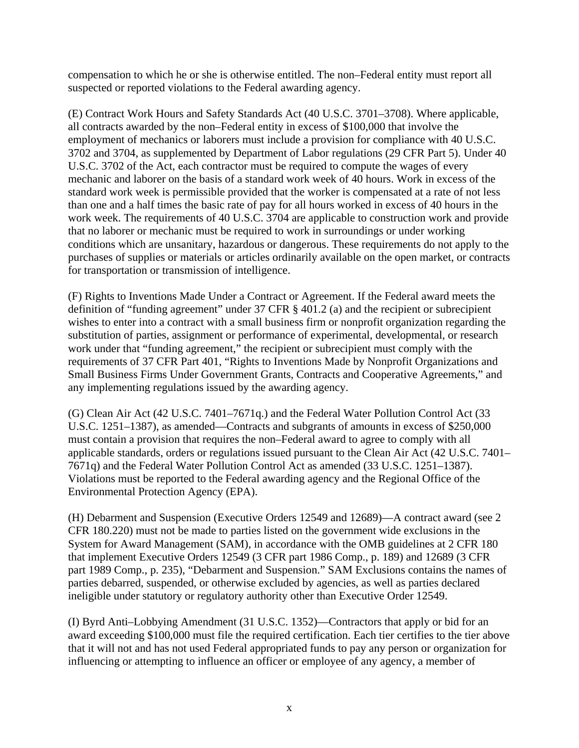compensation to which he or she is otherwise entitled. The non–Federal entity must report all suspected or reported violations to the Federal awarding agency.

(E) Contract Work Hours and Safety Standards Act (40 U.S.C. 3701–3708). Where applicable, all contracts awarded by the non–Federal entity in excess of \$100,000 that involve the employment of mechanics or laborers must include a provision for compliance with 40 U.S.C. 3702 and 3704, as supplemented by Department of Labor regulations (29 CFR Part 5). Under 40 U.S.C. 3702 of the Act, each contractor must be required to compute the wages of every mechanic and laborer on the basis of a standard work week of 40 hours. Work in excess of the standard work week is permissible provided that the worker is compensated at a rate of not less than one and a half times the basic rate of pay for all hours worked in excess of 40 hours in the work week. The requirements of 40 U.S.C. 3704 are applicable to construction work and provide that no laborer or mechanic must be required to work in surroundings or under working conditions which are unsanitary, hazardous or dangerous. These requirements do not apply to the purchases of supplies or materials or articles ordinarily available on the open market, or contracts for transportation or transmission of intelligence.

(F) Rights to Inventions Made Under a Contract or Agreement. If the Federal award meets the definition of "funding agreement" under 37 CFR § 401.2 (a) and the recipient or subrecipient wishes to enter into a contract with a small business firm or nonprofit organization regarding the substitution of parties, assignment or performance of experimental, developmental, or research work under that "funding agreement," the recipient or subrecipient must comply with the requirements of 37 CFR Part 401, "Rights to Inventions Made by Nonprofit Organizations and Small Business Firms Under Government Grants, Contracts and Cooperative Agreements," and any implementing regulations issued by the awarding agency.

(G) Clean Air Act (42 U.S.C. 7401–7671q.) and the Federal Water Pollution Control Act (33 U.S.C. 1251–1387), as amended—Contracts and subgrants of amounts in excess of \$250,000 must contain a provision that requires the non–Federal award to agree to comply with all applicable standards, orders or regulations issued pursuant to the Clean Air Act (42 U.S.C. 7401– 7671q) and the Federal Water Pollution Control Act as amended (33 U.S.C. 1251–1387). Violations must be reported to the Federal awarding agency and the Regional Office of the Environmental Protection Agency (EPA).

(H) Debarment and Suspension (Executive Orders 12549 and 12689)—A contract award (see 2 CFR 180.220) must not be made to parties listed on the government wide exclusions in the System for Award Management (SAM), in accordance with the OMB guidelines at 2 CFR 180 that implement Executive Orders 12549 (3 CFR part 1986 Comp., p. 189) and 12689 (3 CFR part 1989 Comp., p. 235), "Debarment and Suspension." SAM Exclusions contains the names of parties debarred, suspended, or otherwise excluded by agencies, as well as parties declared ineligible under statutory or regulatory authority other than Executive Order 12549.

(I) Byrd Anti–Lobbying Amendment (31 U.S.C. 1352)—Contractors that apply or bid for an award exceeding \$100,000 must file the required certification. Each tier certifies to the tier above that it will not and has not used Federal appropriated funds to pay any person or organization for influencing or attempting to influence an officer or employee of any agency, a member of